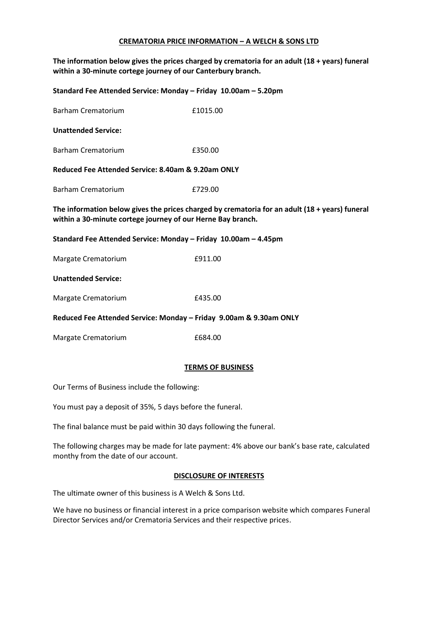## **CREMATORIA PRICE INFORMATION – A WELCH & SONS LTD**

**The information below gives the prices charged by crematoria for an adult (18 + years) funeral within a 30-minute cortege journey of our Canterbury branch.**

| Standard Fee Attended Service: Monday - Friday 10.00am - 5.20pm                                                                                                    |          |  |
|--------------------------------------------------------------------------------------------------------------------------------------------------------------------|----------|--|
| <b>Barham Crematorium</b>                                                                                                                                          | £1015.00 |  |
| <b>Unattended Service:</b>                                                                                                                                         |          |  |
| <b>Barham Crematorium</b>                                                                                                                                          | £350.00  |  |
| Reduced Fee Attended Service: 8.40am & 9.20am ONLY                                                                                                                 |          |  |
| <b>Barham Crematorium</b>                                                                                                                                          | £729.00  |  |
| The information below gives the prices charged by crematoria for an adult $(18 + \gamma e)$ funeral<br>within a 30-minute cortege journey of our Herne Bay branch. |          |  |
| Standard Fee Attended Service: Monday - Friday 10.00am - 4.45pm                                                                                                    |          |  |
| Margate Crematorium                                                                                                                                                | £911.00  |  |
| <b>Unattended Service:</b>                                                                                                                                         |          |  |
| Margate Crematorium                                                                                                                                                | £435.00  |  |
| Reduced Fee Attended Service: Monday - Friday 9.00am & 9.30am ONLY                                                                                                 |          |  |
| Margate Crematorium                                                                                                                                                | £684.00  |  |

## **TERMS OF BUSINESS**

Our Terms of Business include the following:

You must pay a deposit of 35%, 5 days before the funeral.

The final balance must be paid within 30 days following the funeral.

The following charges may be made for late payment: 4% above our bank's base rate, calculated monthy from the date of our account.

## **DISCLOSURE OF INTERESTS**

The ultimate owner of this business is A Welch & Sons Ltd.

We have no business or financial interest in a price comparison website which compares Funeral Director Services and/or Crematoria Services and their respective prices.